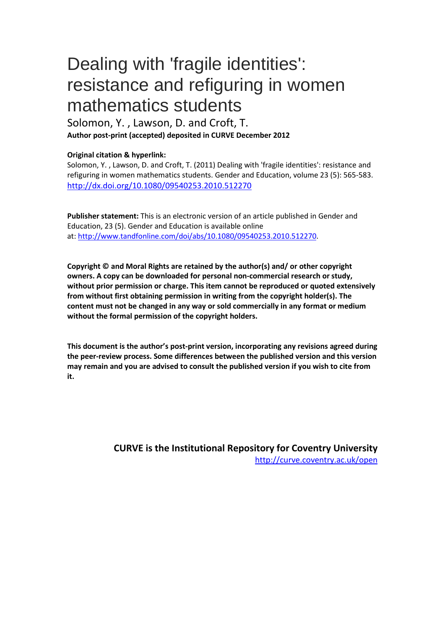# Dealing with 'fragile identities': resistance and refiguring in women mathematics students

Solomon, Y. , Lawson, D. and Croft, T. **Author post-print (accepted) deposited in CURVE December 2012** 

# **Original citation & hyperlink:**

Solomon, Y. , Lawson, D. and Croft, T. (2011) Dealing with 'fragile identities': resistance and refiguring in women mathematics students. Gender and Education, volume 23 (5): 565-583. http://dx.doi.org/10.1080/09540253.2010.512270

**Publisher statement:** This is an electronic version of an article published in Gender and Education, 23 (5). Gender and Education is available online at: http://www.tandfonline.com/doi/abs/10.1080/09540253.2010.512270.

**Copyright © and Moral Rights are retained by the author(s) and/ or other copyright owners. A copy can be downloaded for personal non-commercial research or study, [without prior permission or charge. This item cannot b](http://dx.doi.org/10.1080/09540253.2010.512270)e reproduced or quoted extensively from without first obtaining permission in writing from the copyright holder(s). The content must not be changed in any way or sold commercially in any format or medium without the formal permission of the copyright holders.** 

**This document is the author's post-print version, incorporating any revisions agreed during the peer-review process. Some differences between the published version and this version may remain and you are advised to consult the published version if you wish to cite from it.** 

> **CURVE is the Institutional Repository for Coventry University** http://curve.coventry.ac.uk/open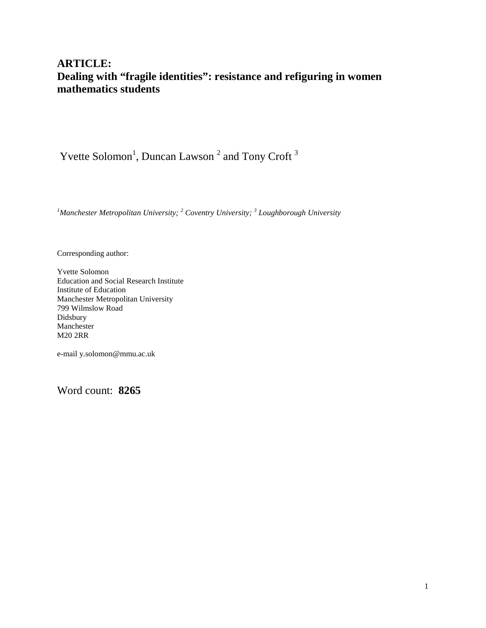# **ARTICLE: Dealing with "fragile identities": resistance and refiguring in women mathematics students**

Yvette Solomon<sup>1</sup>, Duncan Lawson<sup>2</sup> and Tony Croft<sup>3</sup>

*1 Manchester Metropolitan University; <sup>2</sup> Coventry University; <sup>3</sup> Loughborough University*

Corresponding author:

Yvette Solomon Education and Social Research Institute Institute of Education Manchester Metropolitan University 799 Wilmslow Road Didsbury Manchester M20 2RR

e-mail y.solomon@mmu.ac.uk

<span id="page-1-0"></span>Word count: **8265**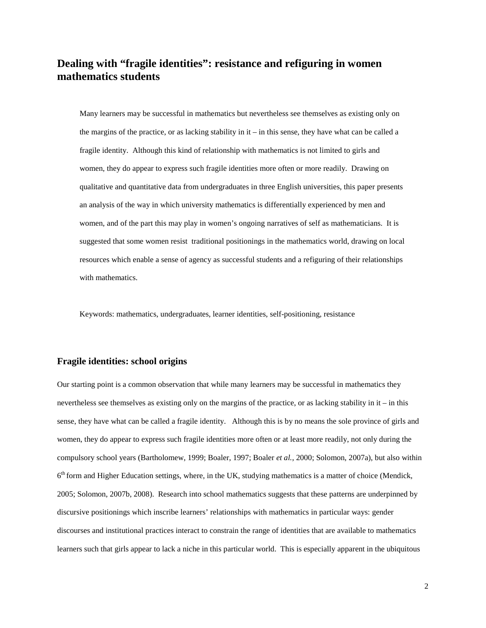# **Dealing with "fragile identities": resistance and refiguring in women mathematics students**

Many learners may be successful in mathematics but nevertheless see themselves as existing only on the margins of the practice, or as lacking stability in it – in this sense, they have what can be called a fragile identity. Although this kind of relationship with mathematics is not limited to girls and women, they do appear to express such fragile identities more often or more readily. Drawing on qualitative and quantitative data from undergraduates in three English universities, this paper presents an analysis of the way in which university mathematics is differentially experienced by men and women, and of the part this may play in women's ongoing narratives of self as mathematicians. It is suggested that some women resist traditional positionings in the mathematics world, drawing on local resources which enable a sense of agency as successful students and a refiguring of their relationships with mathematics.

Keywords: mathematics, undergraduates, learner identities, self-positioning, resistance

# **Fragile identities: school origins**

Our starting point is a common observation that while many learners may be successful in mathematics they nevertheless see themselves as existing only on the margins of the practice, or as lacking stability in it – in this sense, they have what can be called a fragile identity. Although this is by no means the sole province of girls and women, they do appear to express such fragile identities more often or at least more readily, not only during the compulsory school years (Bartholomew, 1999; Boaler, 1997; Boaler *et al.*, 2000; Solomon, 2007a), but also within  $6<sup>th</sup>$  form and Higher Education settings, where, in the UK, studying mathematics is a matter of choice (Mendick, 2005; Solomon, 2007b, 2008). Research into school mathematics suggests that these patterns are underpinned by discursive positionings which inscribe learners' relationships with mathematics in particular ways: gender discourses and institutional practices interact to constrain the range of identities that are available to mathematics learners such that girls appear to lack a niche in this particular world. This is especially apparent in the ubiquitous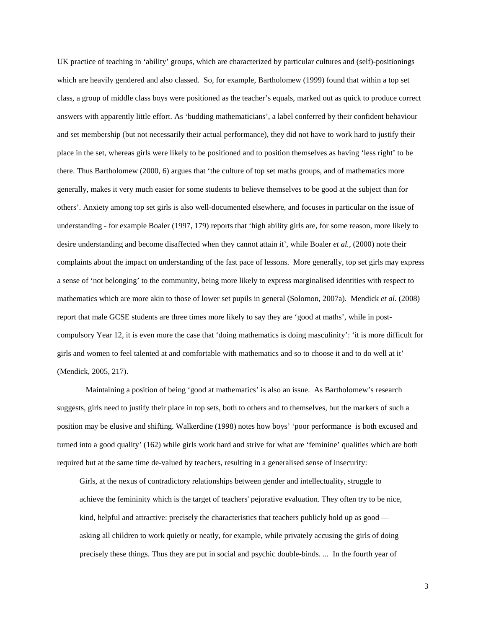UK practice of teaching in 'ability' groups, which are characterized by particular cultures and (self)-positionings which are heavily gendered and also classed. So, for example, Bartholomew (1999) found that within a top set class, a group of middle class boys were positioned as the teacher's equals, marked out as quick to produce correct answers with apparently little effort. As 'budding mathematicians', a label conferred by their confident behaviour and set membership (but not necessarily their actual performance), they did not have to work hard to justify their place in the set, whereas girls were likely to be positioned and to position themselves as having 'less right' to be there. Thus Bartholomew (2000, 6) argues that 'the culture of top set maths groups, and of mathematics more generally, makes it very much easier for some students to believe themselves to be good at the subject than for others'. Anxiety among top set girls is also well-documented elsewhere, and focuses in particular on the issue of understanding - for example Boaler (1997, 179) reports that 'high ability girls are, for some reason, more likely to desire understanding and become disaffected when they cannot attain it', while Boaler *et al.,* (2000) note their complaints about the impact on understanding of the fast pace of lessons. More generally, top set girls may express a sense of 'not belonging' to the community, being more likely to express marginalised identities with respect to mathematics which are more akin to those of lower set pupils in general (Solomon, 2007a). Mendick *et al.* (2008) report that male GCSE students are three times more likely to say they are 'good at maths', while in postcompulsory Year 12, it is even more the case that 'doing mathematics is doing masculinity': 'it is more difficult for girls and women to feel talented at and comfortable with mathematics and so to choose it and to do well at it' (Mendick, 2005, 217).

Maintaining a position of being 'good at mathematics' is also an issue. As Bartholomew's research suggests, girls need to justify their place in top sets, both to others and to themselves, but the markers of such a position may be elusive and shifting. Walkerdine (1998) notes how boys' 'poor performance is both excused and turned into a good quality' (162) while girls work hard and strive for what are 'feminine' qualities which are both required but at the same time de-valued by teachers, resulting in a generalised sense of insecurity:

Girls, at the nexus of contradictory relationships between gender and intellectuality, struggle to achieve the femininity which is the target of teachers' pejorative evaluation. They often try to be nice, kind, helpful and attractive: precisely the characteristics that teachers publicly hold up as good asking all children to work quietly or neatly, for example, while privately accusing the girls of doing precisely these things. Thus they are put in social and psychic double-binds. ... In the fourth year of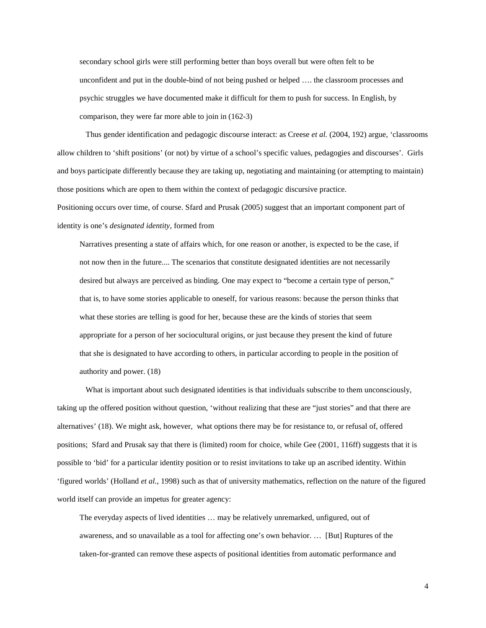secondary school girls were still performing better than boys overall but were often felt to be unconfident and put in the double-bind of not being pushed or helped …. the classroom processes and psychic struggles we have documented make it difficult for them to push for success. In English, by comparison, they were far more able to join in (162-3)

Thus gender identification and pedagogic discourse interact: as Creese *et al.* (2004, 192) argue, 'classrooms allow children to 'shift positions' (or not) by virtue of a school's specific values, pedagogies and discourses'. Girls and boys participate differently because they are taking up, negotiating and maintaining (or attempting to maintain) those positions which are open to them within the context of pedagogic discursive practice.

Positioning occurs over time, of course. Sfard and Prusak (2005) suggest that an important component part of identity is one's *designated identity*, formed from

Narratives presenting a state of affairs which, for one reason or another, is expected to be the case, if not now then in the future.... The scenarios that constitute designated identities are not necessarily desired but always are perceived as binding. One may expect to "become a certain type of person," that is, to have some stories applicable to oneself, for various reasons: because the person thinks that what these stories are telling is good for her, because these are the kinds of stories that seem appropriate for a person of her sociocultural origins, or just because they present the kind of future that she is designated to have according to others, in particular according to people in the position of authority and power. (18)

What is important about such designated identities is that individuals subscribe to them unconsciously, taking up the offered position without question, 'without realizing that these are "just stories" and that there are alternatives' (18). We might ask, however, what options there may be for resistance to, or refusal of, offered positions; Sfard and Prusak say that there is (limited) room for choice, while Gee (2001, 116ff) suggests that it is possible to 'bid' for a particular identity position or to resist invitations to take up an ascribed identity. Within 'figured worlds' (Holland *et al.*, 1998) such as that of university mathematics, reflection on the nature of the figured world itself can provide an impetus for greater agency:

The everyday aspects of lived identities … may be relatively unremarked, unfigured, out of awareness, and so unavailable as a tool for affecting one's own behavior. … [But] Ruptures of the taken-for-granted can remove these aspects of positional identities from automatic performance and

4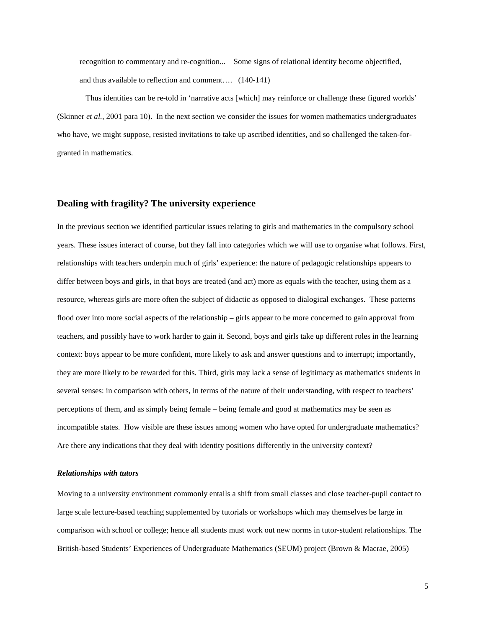recognition to commentary and re-cognition... Some signs of relational identity become objectified, and thus available to reflection and comment…. (140-141)

Thus identities can be re-told in 'narrative acts [which] may reinforce or challenge these figured worlds' (Skinner *et al.*, 2001 para 10). In the next section we consider the issues for women mathematics undergraduates who have, we might suppose, resisted invitations to take up ascribed identities, and so challenged the taken-forgranted in mathematics.

# **Dealing with fragility? The university experience**

In the previous section we identified particular issues relating to girls and mathematics in the compulsory school years. These issues interact of course, but they fall into categories which we will use to organise what follows. First, relationships with teachers underpin much of girls' experience: the nature of pedagogic relationships appears to differ between boys and girls, in that boys are treated (and act) more as equals with the teacher, using them as a resource, whereas girls are more often the subject of didactic as opposed to dialogical exchanges. These patterns flood over into more social aspects of the relationship – girls appear to be more concerned to gain approval from teachers, and possibly have to work harder to gain it. Second, boys and girls take up different roles in the learning context: boys appear to be more confident, more likely to ask and answer questions and to interrupt; importantly, they are more likely to be rewarded for this. Third, girls may lack a sense of legitimacy as mathematics students in several senses: in comparison with others, in terms of the nature of their understanding, with respect to teachers' perceptions of them, and as simply being female – being female and good at mathematics may be seen as incompatible states. How visible are these issues among women who have opted for undergraduate mathematics? Are there any indications that they deal with identity positions differently in the university context?

# *Relationships with tutors*

Moving to a university environment commonly entails a shift from small classes and close teacher-pupil contact to large scale lecture-based teaching supplemented by tutorials or workshops which may themselves be large in comparison with school or college; hence all students must work out new norms in tutor-student relationships. The British-based Students' Experiences of Undergraduate Mathematics (SEUM) project (Brown & Macrae, 2005)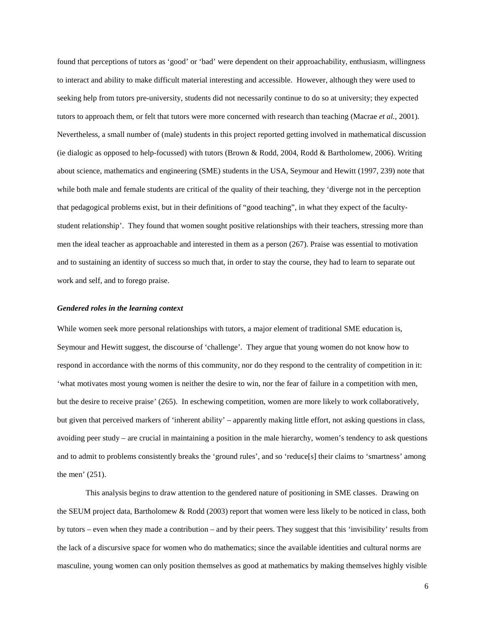found that perceptions of tutors as 'good' or 'bad' were dependent on their approachability, enthusiasm, willingness to interact and ability to make difficult material interesting and accessible. However, although they were used to seeking help from tutors pre-university, students did not necessarily continue to do so at university; they expected tutors to approach them, or felt that tutors were more concerned with research than teaching (Macrae *et al.*, 2001). Nevertheless, a small number of (male) students in this project reported getting involved in mathematical discussion (ie dialogic as opposed to help-focussed) with tutors (Brown & Rodd, 2004, Rodd & Bartholomew, 2006). Writing about science, mathematics and engineering (SME) students in the USA, Seymour and Hewitt (1997, 239) note that while both male and female students are critical of the quality of their teaching, they 'diverge not in the perception that pedagogical problems exist, but in their definitions of "good teaching", in what they expect of the facultystudent relationship'. They found that women sought positive relationships with their teachers, stressing more than men the ideal teacher as approachable and interested in them as a person (267). Praise was essential to motivation and to sustaining an identity of success so much that, in order to stay the course, they had to learn to separate out work and self, and to forego praise.

#### *Gendered roles in the learning context*

While women seek more personal relationships with tutors, a major element of traditional SME education is, Seymour and Hewitt suggest, the discourse of 'challenge'. They argue that young women do not know how to respond in accordance with the norms of this community, nor do they respond to the centrality of competition in it: 'what motivates most young women is neither the desire to win, nor the fear of failure in a competition with men, but the desire to receive praise' (265). In eschewing competition, women are more likely to work collaboratively, but given that perceived markers of 'inherent ability' – apparently making little effort, not asking questions in class, avoiding peer study – are crucial in maintaining a position in the male hierarchy, women's tendency to ask questions and to admit to problems consistently breaks the 'ground rules', and so 'reduce[s] their claims to 'smartness' among the men' (251).

This analysis begins to draw attention to the gendered nature of positioning in SME classes. Drawing on the SEUM project data, Bartholomew & Rodd (2003) report that women were less likely to be noticed in class, both by tutors – even when they made a contribution – and by their peers. They suggest that this 'invisibility' results from the lack of a discursive space for women who do mathematics; since the available identities and cultural norms are masculine, young women can only position themselves as good at mathematics by making themselves highly visible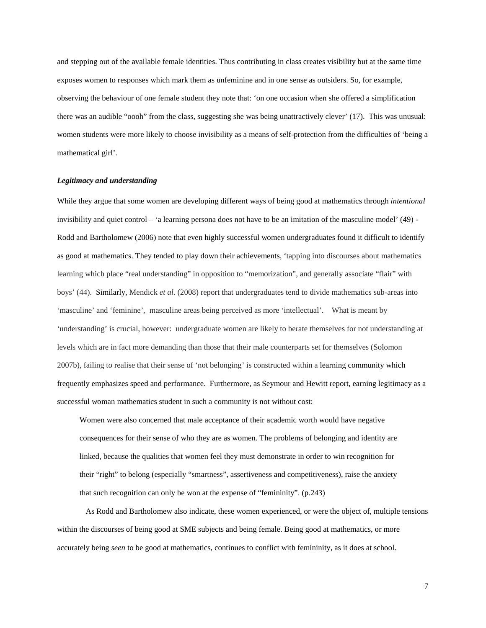and stepping out of the available female identities. Thus contributing in class creates visibility but at the same time exposes women to responses which mark them as unfeminine and in one sense as outsiders. So, for example, observing the behaviour of one female student they note that: 'on one occasion when she offered a simplification there was an audible "oooh" from the class, suggesting she was being unattractively clever' (17). This was unusual: women students were more likely to choose invisibility as a means of self-protection from the difficulties of 'being a mathematical girl'.

# *Legitimacy and understanding*

While they argue that some women are developing different ways of being good at mathematics through *intentional* invisibility and quiet control – 'a learning persona does not have to be an imitation of the masculine model' (49) - Rodd and Bartholomew (2006) note that even highly successful women undergraduates found it difficult to identify as good at mathematics. They tended to play down their achievements, 'tapping into discourses about mathematics learning which place "real understanding" in opposition to "memorization", and generally associate "flair" with boys' (44). Similarly, Mendick *et al.* (2008) report that undergraduates tend to divide mathematics sub-areas into 'masculine' and 'feminine', masculine areas being perceived as more 'intellectual'. What is meant by 'understanding' is crucial, however: undergraduate women are likely to berate themselves for not understanding at levels which are in fact more demanding than those that their male counterparts set for themselves (Solomon 2007b), failing to realise that their sense of 'not belonging' is constructed within a learning community which frequently emphasizes speed and performance. Furthermore, as Seymour and Hewitt report, earning legitimacy as a successful woman mathematics student in such a community is not without cost:

Women were also concerned that male acceptance of their academic worth would have negative consequences for their sense of who they are as women. The problems of belonging and identity are linked, because the qualities that women feel they must demonstrate in order to win recognition for their "right" to belong (especially "smartness", assertiveness and competitiveness), raise the anxiety that such recognition can only be won at the expense of "femininity". (p.243)

As Rodd and Bartholomew also indicate, these women experienced, or were the object of, multiple tensions within the discourses of being good at SME subjects and being female. Being good at mathematics, or more accurately being *seen* to be good at mathematics, continues to conflict with femininity, as it does at school.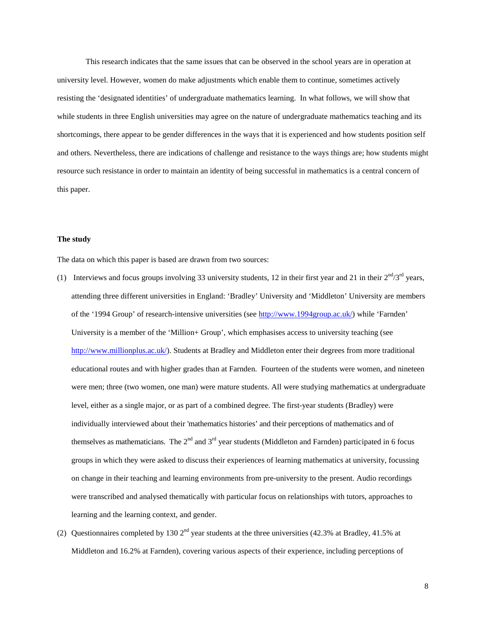This research indicates that the same issues that can be observed in the school years are in operation at university level. However, women do make adjustments which enable them to continue, sometimes actively resisting the 'designated identities' of undergraduate mathematics learning. In what follows, we will show that while students in three English universities may agree on the nature of undergraduate mathematics teaching and its shortcomings, there appear to be gender differences in the ways that it is experienced and how students position self and others. Nevertheless, there are indications of challenge and resistance to the ways things are; how students might resource such resistance in order to maintain an identity of being successful in mathematics is a central concern of this paper.

### **The study**

The data on which this paper is based are drawn from two sources:

- (1) Interviews and focus groups involving 33 university students, 12 in their first year and 21 in their  $2^{nd}/3^{rd}$  years. attending three different universities in England: 'Bradley' University and 'Middleton' University are members of the '1994 Group' of research-intensive universities (see [http://www.1994group.ac.uk/\)](http://www.1994group.ac.uk/) while 'Farnden' University is a member of the 'Million+ Group', which emphasises access to university teaching (see [http://www.millionplus.ac.uk/\)](http://www.millionplus.ac.uk/). Students at Bradley and Middleton enter their degrees from more traditional educational routes and with higher grades than at Farnden. Fourteen of the students were women, and nineteen were men; three (two women, one man) were mature students. All were studying mathematics at undergraduate level, either as a single major, or as part of a combined degree. The first-year students (Bradley) were individually interviewed about their 'mathematics histories' and their perceptions of mathematics and of themselves as mathematicians. The  $2^{nd}$  and  $3^{rd}$  year students (Middleton and Farnden) participated in 6 focus groups in which they were asked to discuss their experiences of learning mathematics at university, focussing on change in their teaching and learning environments from pre-university to the present. Audio recordings were transcribed and analysed thematically with particular focus on relationships with tutors, approaches to learning and the learning context, and gender.
- (2) Questionnaires completed by 130  $2<sup>nd</sup>$  year students at the three universities (42.3% at Bradley, 41.5% at Middleton and 16.2% at Farnden), covering various aspects of their experience, including perceptions of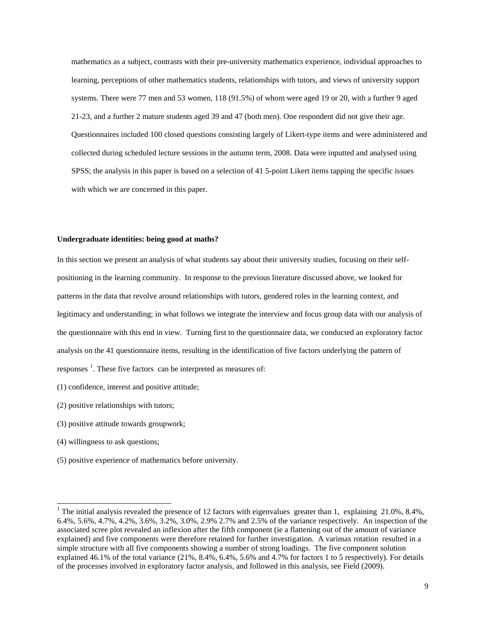mathematics as a subject, contrasts with their pre-university mathematics experience, individual approaches to learning, perceptions of other mathematics students, relationships with tutors, and views of university support systems. There were 77 men and 53 women, 118 (91.5%) of whom were aged 19 or 20, with a further 9 aged 21-23, and a further 2 mature students aged 39 and 47 (both men). One respondent did not give their age. Questionnaires included 100 closed questions consisting largely of Likert-type items and were administered and collected during scheduled lecture sessions in the autumn term, 2008. Data were inputted and analysed using SPSS; the analysis in this paper is based on a selection of 41 5-point Likert items tapping the specific issues with which we are concerned in this paper.

# **Undergraduate identities: being good at maths?**

In this section we present an analysis of what students say about their university studies, focusing on their selfpositioning in the learning community. In response to the previous literature discussed above, we looked for patterns in the data that revolve around relationships with tutors, gendered roles in the learning context, and legitimacy and understanding; in what follows we integrate the interview and focus group data with our analysis of the questionnaire with this end in view. Turning first to the questionnaire data, we conducted an exploratory factor analysis on the 41 questionnaire items, resulting in the identification of five factors underlying the pattern of responses  $<sup>1</sup>$  $<sup>1</sup>$  $<sup>1</sup>$ . These five factors can be interpreted as measures of:</sup>

- (1) confidence, interest and positive attitude;
- (2) positive relationships with tutors;
- (3) positive attitude towards groupwork;
- (4) willingness to ask questions;
- (5) positive experience of mathematics before university.

<sup>&</sup>lt;sup>1</sup> The initial analysis revealed the presence of 12 factors with eigenvalues greater than 1, explaining 21.0%, 8.4%, 6.4%, 5.6%, 4.7%, 4.2%, 3.6%, 3.2%, 3.0%, 2.9% 2.7% and 2.5% of the variance respectively. An inspection of the associated scree plot revealed an inflexion after the fifth component (ie a flattening out of the amount of variance explained) and five components were therefore retained for further investigation. A varimax rotation resulted in a simple structure with all five components showing a number of strong loadings. The five component solution explained 46.1% of the total variance (21%, 8.4%, 6.4%, 5.6% and 4.7% for factors 1 to 5 respectively). For details of the processes involved in exploratory factor analysis, and followed in this analysis, see Field (2009).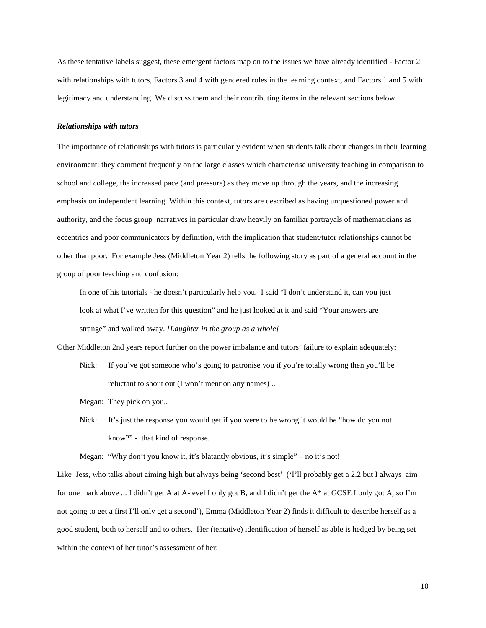As these tentative labels suggest, these emergent factors map on to the issues we have already identified - Factor 2 with relationships with tutors, Factors 3 and 4 with gendered roles in the learning context, and Factors 1 and 5 with legitimacy and understanding. We discuss them and their contributing items in the relevant sections below.

# *Relationships with tutors*

The importance of relationships with tutors is particularly evident when students talk about changes in their learning environment: they comment frequently on the large classes which characterise university teaching in comparison to school and college, the increased pace (and pressure) as they move up through the years, and the increasing emphasis on independent learning. Within this context, tutors are described as having unquestioned power and authority, and the focus group narratives in particular draw heavily on familiar portrayals of mathematicians as eccentrics and poor communicators by definition, with the implication that student/tutor relationships cannot be other than poor. For example Jess (Middleton Year 2) tells the following story as part of a general account in the group of poor teaching and confusion:

In one of his tutorials - he doesn't particularly help you. I said "I don't understand it, can you just look at what I've written for this question" and he just looked at it and said "Your answers are strange" and walked away. *[Laughter in the group as a whole]*

Other Middleton 2nd years report further on the power imbalance and tutors' failure to explain adequately:

- Nick: If you've got someone who's going to patronise you if you're totally wrong then you'll be reluctant to shout out (I won't mention any names) ..
- Megan: They pick on you..
- Nick: It's just the response you would get if you were to be wrong it would be "how do you not know?" - that kind of response.

Megan: "Why don't you know it, it's blatantly obvious, it's simple" – no it's not!

Like Jess, who talks about aiming high but always being 'second best' (T'll probably get a 2.2 but I always aim for one mark above ... I didn't get A at A-level I only got B, and I didn't get the A\* at GCSE I only got A, so I'm not going to get a first I'll only get a second'), Emma (Middleton Year 2) finds it difficult to describe herself as a good student, both to herself and to others. Her (tentative) identification of herself as able is hedged by being set within the context of her tutor's assessment of her: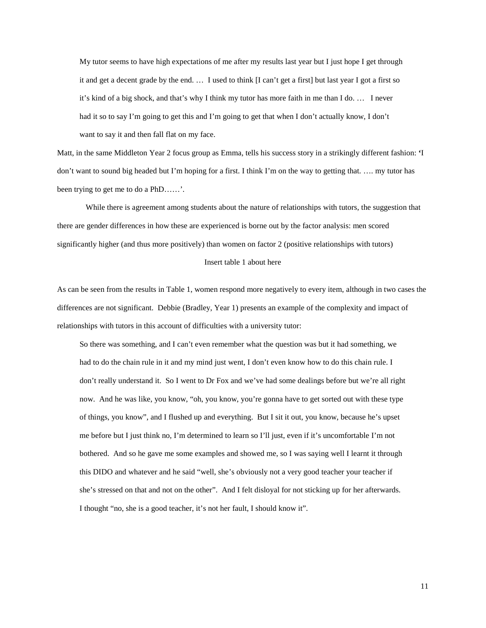My tutor seems to have high expectations of me after my results last year but I just hope I get through it and get a decent grade by the end. … I used to think [I can't get a first] but last year I got a first so it's kind of a big shock, and that's why I think my tutor has more faith in me than I do. … I never had it so to say I'm going to get this and I'm going to get that when I don't actually know, I don't want to say it and then fall flat on my face.

Matt, in the same Middleton Year 2 focus group as Emma, tells his success story in a strikingly different fashion: **'**I don't want to sound big headed but I'm hoping for a first. I think I'm on the way to getting that. …. my tutor has been trying to get me to do a PhD……'.

While there is agreement among students about the nature of relationships with tutors, the suggestion that there are gender differences in how these are experienced is borne out by the factor analysis: men scored significantly higher (and thus more positively) than women on factor 2 (positive relationships with tutors)

# Insert table 1 about here

As can be seen from the results in Table 1, women respond more negatively to every item, although in two cases the differences are not significant. Debbie (Bradley, Year 1) presents an example of the complexity and impact of relationships with tutors in this account of difficulties with a university tutor:

So there was something, and I can't even remember what the question was but it had something, we had to do the chain rule in it and my mind just went, I don't even know how to do this chain rule. I don't really understand it. So I went to Dr Fox and we've had some dealings before but we're all right now. And he was like, you know, "oh, you know, you're gonna have to get sorted out with these type of things, you know", and I flushed up and everything. But I sit it out, you know, because he's upset me before but I just think no, I'm determined to learn so I'll just, even if it's uncomfortable I'm not bothered. And so he gave me some examples and showed me, so I was saying well I learnt it through this DIDO and whatever and he said "well, she's obviously not a very good teacher your teacher if she's stressed on that and not on the other". And I felt disloyal for not sticking up for her afterwards. I thought "no, she is a good teacher, it's not her fault, I should know it".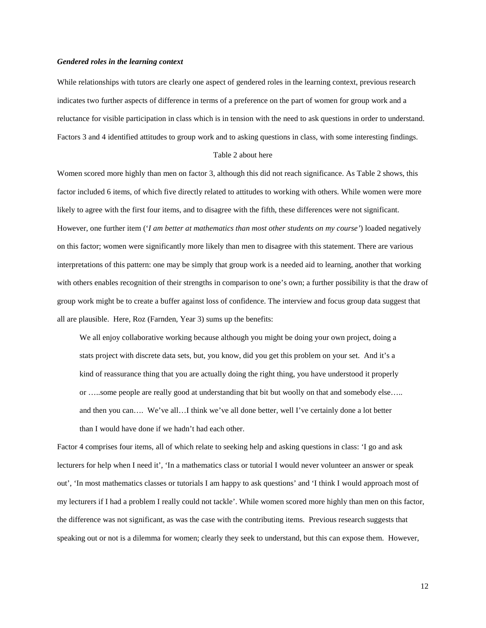# *Gendered roles in the learning context*

While relationships with tutors are clearly one aspect of gendered roles in the learning context, previous research indicates two further aspects of difference in terms of a preference on the part of women for group work and a reluctance for visible participation in class which is in tension with the need to ask questions in order to understand. Factors 3 and 4 identified attitudes to group work and to asking questions in class, with some interesting findings.

### Table 2 about here

Women scored more highly than men on factor 3, although this did not reach significance. As Table 2 shows, this factor included 6 items, of which five directly related to attitudes to working with others*.* While women were more likely to agree with the first four items, and to disagree with the fifth, these differences were not significant. However, one further item ('*I am better at mathematics than most other students on my course'*) loaded negatively on this factor; women were significantly more likely than men to disagree with this statement. There are various interpretations of this pattern: one may be simply that group work is a needed aid to learning, another that working with others enables recognition of their strengths in comparison to one's own; a further possibility is that the draw of group work might be to create a buffer against loss of confidence. The interview and focus group data suggest that all are plausible. Here, Roz (Farnden, Year 3) sums up the benefits:

We all enjoy collaborative working because although you might be doing your own project, doing a stats project with discrete data sets, but, you know, did you get this problem on your set. And it's a kind of reassurance thing that you are actually doing the right thing, you have understood it properly or …..some people are really good at understanding that bit but woolly on that and somebody else….. and then you can…. We've all…I think we've all done better, well I've certainly done a lot better than I would have done if we hadn't had each other.

Factor 4 comprises four items, all of which relate to seeking help and asking questions in class: 'I go and ask lecturers for help when I need it', 'In a mathematics class or tutorial I would never volunteer an answer or speak out', 'In most mathematics classes or tutorials I am happy to ask questions' and 'I think I would approach most of my lecturers if I had a problem I really could not tackle'. While women scored more highly than men on this factor, the difference was not significant, as was the case with the contributing items. Previous research suggests that speaking out or not is a dilemma for women; clearly they seek to understand, but this can expose them. However,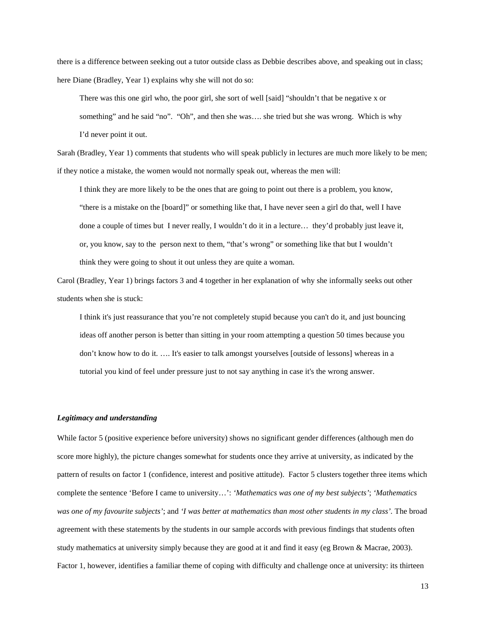there is a difference between seeking out a tutor outside class as Debbie describes above, and speaking out in class; here Diane (Bradley, Year 1) explains why she will not do so:

There was this one girl who, the poor girl, she sort of well [said] "shouldn't that be negative x or something" and he said "no". "Oh", and then she was.... she tried but she was wrong. Which is why I'd never point it out.

Sarah (Bradley, Year 1) comments that students who will speak publicly in lectures are much more likely to be men; if they notice a mistake, the women would not normally speak out, whereas the men will:

I think they are more likely to be the ones that are going to point out there is a problem, you know, "there is a mistake on the [board]" or something like that, I have never seen a girl do that, well I have done a couple of times but I never really, I wouldn't do it in a lecture… they'd probably just leave it, or, you know, say to the person next to them, "that's wrong" or something like that but I wouldn't think they were going to shout it out unless they are quite a woman.

Carol (Bradley, Year 1) brings factors 3 and 4 together in her explanation of why she informally seeks out other students when she is stuck:

I think it's just reassurance that you're not completely stupid because you can't do it, and just bouncing ideas off another person is better than sitting in your room attempting a question 50 times because you don't know how to do it. …. It's easier to talk amongst yourselves [outside of lessons] whereas in a tutorial you kind of feel under pressure just to not say anything in case it's the wrong answer.

# *Legitimacy and understanding*

While factor 5 (positive experience before university) shows no significant gender differences (although men do score more highly), the picture changes somewhat for students once they arrive at university, as indicated by the pattern of results on factor 1 (confidence, interest and positive attitude). Factor 5 clusters together three items which complete the sentence 'Before I came to university…': *'Mathematics was one of my best subjects'*; *'Mathematics was one of my favourite subjects'*; and *'I was better at mathematics than most other students in my class'.* The broad agreement with these statements by the students in our sample accords with previous findings that students often study mathematics at university simply because they are good at it and find it easy (eg Brown & Macrae, 2003). Factor 1, however, identifies a familiar theme of coping with difficulty and challenge once at university: its thirteen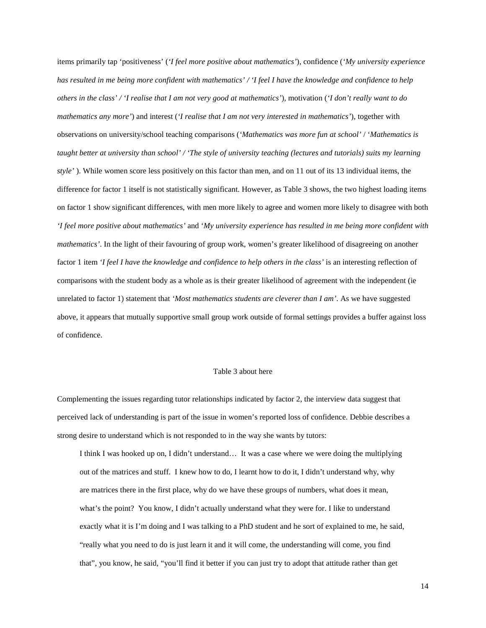items primarily tap 'positiveness' (*'I feel more positive about mathematics'*), confidence (*'My university experience has resulted in me being more confident with mathematics' / 'I feel I have the knowledge and confidence to help others in the class' / 'I realise that I am not very good at mathematics'*)*,* motivation (*'I don't really want to do mathematics any more'*) and interest (*'I realise that I am not very interested in mathematics'*), together with observations on university/school teaching comparisons (*'Mathematics was more fun at school'* / '*Mathematics is taught better at university than school' / 'The style of university teaching (lectures and tutorials) suits my learning style'* ). While women score less positively on this factor than men, and on 11 out of its 13 individual items, the difference for factor 1 itself is not statistically significant. However, as Table 3 shows, the two highest loading items on factor 1 show significant differences, with men more likely to agree and women more likely to disagree with both *'I feel more positive about mathematics'* and '*My university experience has resulted in me being more confident with mathematics'*. In the light of their favouring of group work, women's greater likelihood of disagreeing on another factor 1 item *'I feel I have the knowledge and confidence to help others in the class'* is an interesting reflection of comparisons with the student body as a whole as is their greater likelihood of agreement with the independent (ie unrelated to factor 1) statement that *'Most mathematics students are cleverer than I am'*. As we have suggested above, it appears that mutually supportive small group work outside of formal settings provides a buffer against loss of confidence.

# Table 3 about here

Complementing the issues regarding tutor relationships indicated by factor 2, the interview data suggest that perceived lack of understanding is part of the issue in women's reported loss of confidence. Debbie describes a strong desire to understand which is not responded to in the way she wants by tutors:

I think I was hooked up on, I didn't understand… It was a case where we were doing the multiplying out of the matrices and stuff. I knew how to do, I learnt how to do it, I didn't understand why, why are matrices there in the first place, why do we have these groups of numbers, what does it mean, what's the point? You know, I didn't actually understand what they were for. I like to understand exactly what it is I'm doing and I was talking to a PhD student and he sort of explained to me, he said, "really what you need to do is just learn it and it will come, the understanding will come, you find that", you know, he said, "you'll find it better if you can just try to adopt that attitude rather than get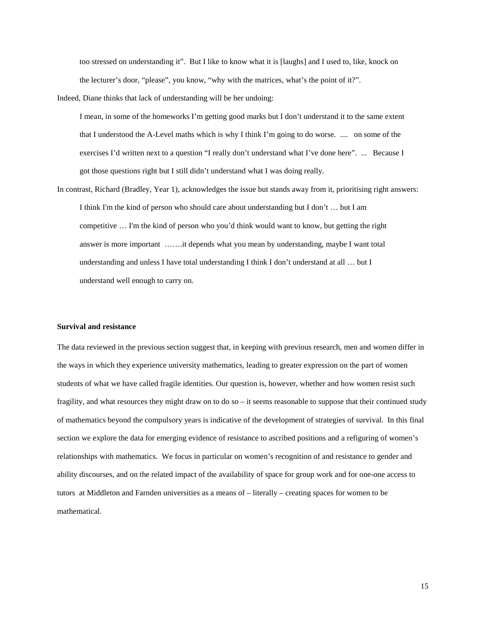too stressed on understanding it". But I like to know what it is [laughs] and I used to, like, knock on the lecturer's door, "please", you know, "why with the matrices, what's the point of it?".

Indeed, Diane thinks that lack of understanding will be her undoing:

I mean, in some of the homeworks I'm getting good marks but I don't understand it to the same extent that I understood the A-Level maths which is why I think I'm going to do worse. .... on some of the exercises I'd written next to a question "I really don't understand what I've done here". ... Because I got those questions right but I still didn't understand what I was doing really.

In contrast, Richard (Bradley, Year 1), acknowledges the issue but stands away from it, prioritising right answers: I think I'm the kind of person who should care about understanding but I don't … but I am competitive … I'm the kind of person who you'd think would want to know, but getting the right answer is more important …….it depends what you mean by understanding, maybe I want total understanding and unless I have total understanding I think I don't understand at all … but I understand well enough to carry on.

# **Survival and resistance**

The data reviewed in the previous section suggest that, in keeping with previous research, men and women differ in the ways in which they experience university mathematics, leading to greater expression on the part of women students of what we have called fragile identities. Our question is, however, whether and how women resist such fragility, and what resources they might draw on to do so – it seems reasonable to suppose that their continued study of mathematics beyond the compulsory years is indicative of the development of strategies of survival. In this final section we explore the data for emerging evidence of resistance to ascribed positions and a refiguring of women's relationships with mathematics. We focus in particular on women's recognition of and resistance to gender and ability discourses, and on the related impact of the availability of space for group work and for one-one access to tutors at Middleton and Farnden universities as a means of – literally – creating spaces for women to be mathematical.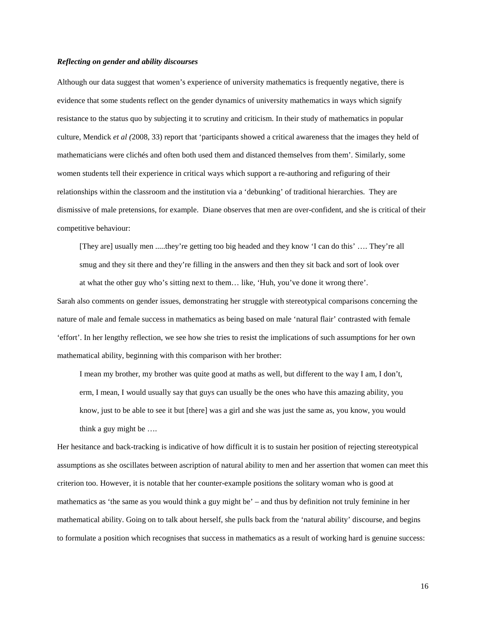## *Reflecting on gender and ability discourses*

Although our data suggest that women's experience of university mathematics is frequently negative, there is evidence that some students reflect on the gender dynamics of university mathematics in ways which signify resistance to the status quo by subjecting it to scrutiny and criticism. In their study of mathematics in popular culture, Mendick *et al (*2008, 33) report that 'participants showed a critical awareness that the images they held of mathematicians were clichés and often both used them and distanced themselves from them'. Similarly, some women students tell their experience in critical ways which support a re-authoring and refiguring of their relationships within the classroom and the institution via a 'debunking' of traditional hierarchies. They are dismissive of male pretensions, for example. Diane observes that men are over-confident, and she is critical of their competitive behaviour:

[They are] usually men .....they're getting too big headed and they know 'I can do this' …. They're all smug and they sit there and they're filling in the answers and then they sit back and sort of look over at what the other guy who's sitting next to them… like, 'Huh, you've done it wrong there'.

Sarah also comments on gender issues, demonstrating her struggle with stereotypical comparisons concerning the nature of male and female success in mathematics as being based on male 'natural flair' contrasted with female 'effort'. In her lengthy reflection, we see how she tries to resist the implications of such assumptions for her own mathematical ability, beginning with this comparison with her brother:

I mean my brother, my brother was quite good at maths as well, but different to the way I am, I don't, erm, I mean, I would usually say that guys can usually be the ones who have this amazing ability, you know, just to be able to see it but [there] was a girl and she was just the same as, you know, you would think a guy might be ….

Her hesitance and back-tracking is indicative of how difficult it is to sustain her position of rejecting stereotypical assumptions as she oscillates between ascription of natural ability to men and her assertion that women can meet this criterion too. However, it is notable that her counter-example positions the solitary woman who is good at mathematics as 'the same as you would think a guy might be' – and thus by definition not truly feminine in her mathematical ability. Going on to talk about herself, she pulls back from the 'natural ability' discourse, and begins to formulate a position which recognises that success in mathematics as a result of working hard is genuine success: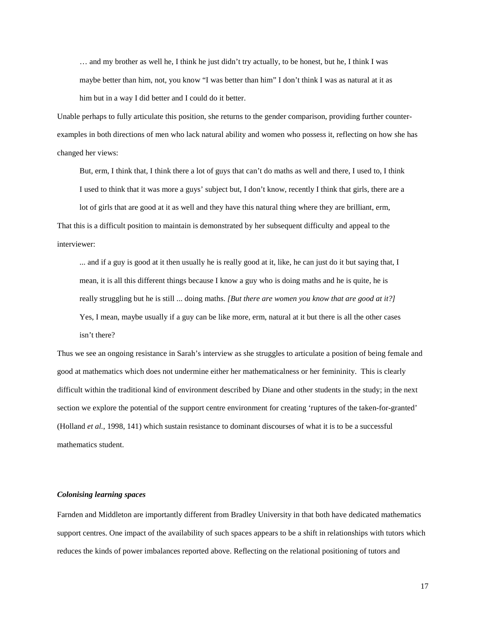… and my brother as well he, I think he just didn't try actually, to be honest, but he, I think I was maybe better than him, not, you know "I was better than him" I don't think I was as natural at it as him but in a way I did better and I could do it better.

Unable perhaps to fully articulate this position, she returns to the gender comparison, providing further counterexamples in both directions of men who lack natural ability and women who possess it, reflecting on how she has changed her views:

But, erm, I think that, I think there a lot of guys that can't do maths as well and there, I used to, I think I used to think that it was more a guys' subject but, I don't know, recently I think that girls, there are a lot of girls that are good at it as well and they have this natural thing where they are brilliant, erm,

That this is a difficult position to maintain is demonstrated by her subsequent difficulty and appeal to the interviewer:

... and if a guy is good at it then usually he is really good at it, like, he can just do it but saying that, I mean, it is all this different things because I know a guy who is doing maths and he is quite, he is really struggling but he is still ... doing maths. *[But there are women you know that are good at it?]* Yes, I mean, maybe usually if a guy can be like more, erm, natural at it but there is all the other cases isn't there?

Thus we see an ongoing resistance in Sarah's interview as she struggles to articulate a position of being female and good at mathematics which does not undermine either her mathematicalness or her femininity. This is clearly difficult within the traditional kind of environment described by Diane and other students in the study; in the next section we explore the potential of the support centre environment for creating 'ruptures of the taken-for-granted' (Holland *et al.*, 1998, 141) which sustain resistance to dominant discourses of what it is to be a successful mathematics student.

# *Colonising learning spaces*

Farnden and Middleton are importantly different from Bradley University in that both have dedicated mathematics support centres. One impact of the availability of such spaces appears to be a shift in relationships with tutors which reduces the kinds of power imbalances reported above. Reflecting on the relational positioning of tutors and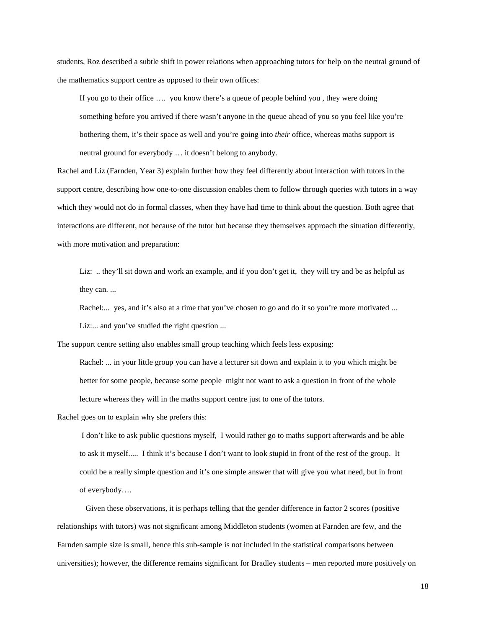students, Roz described a subtle shift in power relations when approaching tutors for help on the neutral ground of the mathematics support centre as opposed to their own offices:

If you go to their office …. you know there's a queue of people behind you , they were doing something before you arrived if there wasn't anyone in the queue ahead of you so you feel like you're bothering them, it's their space as well and you're going into *their* office, whereas maths support is neutral ground for everybody … it doesn't belong to anybody.

Rachel and Liz (Farnden, Year 3) explain further how they feel differently about interaction with tutors in the support centre, describing how one-to-one discussion enables them to follow through queries with tutors in a way which they would not do in formal classes, when they have had time to think about the question. Both agree that interactions are different, not because of the tutor but because they themselves approach the situation differently, with more motivation and preparation:

Liz: ... they'll sit down and work an example, and if you don't get it, they will try and be as helpful as they can. ...

Rachel:... yes, and it's also at a time that you've chosen to go and do it so you're more motivated ... Liz:... and you've studied the right question ...

The support centre setting also enables small group teaching which feels less exposing:

Rachel: ... in your little group you can have a lecturer sit down and explain it to you which might be better for some people, because some people might not want to ask a question in front of the whole lecture whereas they will in the maths support centre just to one of the tutors.

Rachel goes on to explain why she prefers this:

I don't like to ask public questions myself, I would rather go to maths support afterwards and be able to ask it myself..... I think it's because I don't want to look stupid in front of the rest of the group. It could be a really simple question and it's one simple answer that will give you what need, but in front of everybody….

Given these observations, it is perhaps telling that the gender difference in factor 2 scores (positive relationships with tutors) was not significant among Middleton students (women at Farnden are few, and the Farnden sample size is small, hence this sub-sample is not included in the statistical comparisons between universities); however, the difference remains significant for Bradley students – men reported more positively on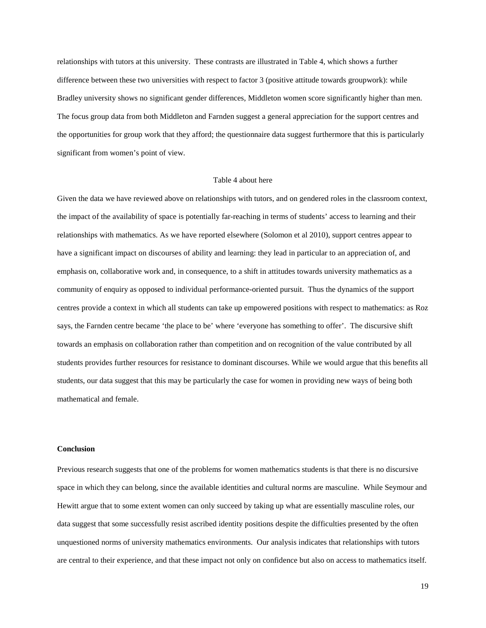relationships with tutors at this university. These contrasts are illustrated in Table 4, which shows a further difference between these two universities with respect to factor 3 (positive attitude towards groupwork): while Bradley university shows no significant gender differences, Middleton women score significantly higher than men. The focus group data from both Middleton and Farnden suggest a general appreciation for the support centres and the opportunities for group work that they afford; the questionnaire data suggest furthermore that this is particularly significant from women's point of view.

#### Table 4 about here

Given the data we have reviewed above on relationships with tutors, and on gendered roles in the classroom context, the impact of the availability of space is potentially far-reaching in terms of students' access to learning and their relationships with mathematics. As we have reported elsewhere (Solomon et al 2010), support centres appear to have a significant impact on discourses of ability and learning: they lead in particular to an appreciation of, and emphasis on, collaborative work and, in consequence, to a shift in attitudes towards university mathematics as a community of enquiry as opposed to individual performance-oriented pursuit. Thus the dynamics of the support centres provide a context in which all students can take up empowered positions with respect to mathematics: as Roz says, the Farnden centre became 'the place to be' where 'everyone has something to offer'. The discursive shift towards an emphasis on collaboration rather than competition and on recognition of the value contributed by all students provides further resources for resistance to dominant discourses. While we would argue that this benefits all students, our data suggest that this may be particularly the case for women in providing new ways of being both mathematical and female.

# **Conclusion**

Previous research suggests that one of the problems for women mathematics students is that there is no discursive space in which they can belong, since the available identities and cultural norms are masculine. While Seymour and Hewitt argue that to some extent women can only succeed by taking up what are essentially masculine roles, our data suggest that some successfully resist ascribed identity positions despite the difficulties presented by the often unquestioned norms of university mathematics environments. Our analysis indicates that relationships with tutors are central to their experience, and that these impact not only on confidence but also on access to mathematics itself.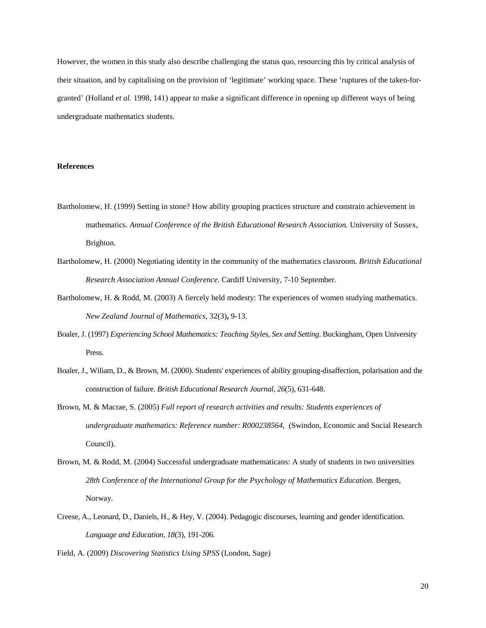However, the women in this study also describe challenging the status quo, resourcing this by critical analysis of their situation, and by capitalising on the provision of 'legitimate' working space. These 'ruptures of the taken-forgranted' (Holland *et al.* 1998, 141) appear to make a significant difference in opening up different ways of being undergraduate mathematics students.

# **References**

- Bartholomew, H. (1999) Setting in stone? How ability grouping practices structure and constrain achievement in mathematics. *Annual Conference of the British Educational Research Association.* University of Sussex, Brighton.
- Bartholomew, H. (2000) Negotiating identity in the community of the mathematics classroom. *British Educational Research Association Annual Conference.* Cardiff University, 7-10 September.
- Bartholomew, H. & Rodd, M. (2003) A fiercely held modesty: The experiences of women studying mathematics. *New Zealand Journal of Mathematics,* 32(3)**,** 9-13.
- Boaler, J. (1997) *Experiencing School Mathematics: Teaching Styles, Sex and Setting*. Buckingham, Open University Press.
- Boaler, J., Wiliam, D., & Brown, M. (2000). Students' experiences of ability grouping-disaffection, polarisation and the construction of failure. *British Educational Research Journal, 26*(5), 631-648.
- Brown, M. & Macrae, S. (2005) *Full report of research activities and results: Students experiences of undergraduate mathematics: Reference number: R000238564,* (Swindon, Economic and Social Research Council).
- Brown, M. & Rodd, M. (2004) Successful undergraduate mathematicans: A study of students in two universities *28th Conference of the International Group for the Psychology of Mathematics Education.* Bergen, Norway.
- Creese, A., Leonard, D., Daniels, H., & Hey, V. (2004). Pedagogic discourses, learning and gender identification. *Language and Education, 18*(3), 191-206.
- Field, A. (2009) *Discovering Statistics Using SPSS* (London, Sage)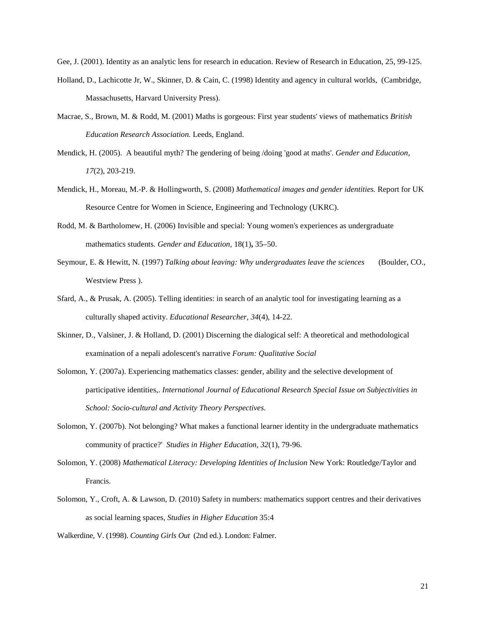Gee, J. (2001). Identity as an analytic lens for research in education. Review of Research in Education, 25, 99-125.

- Holland, D., Lachicotte Jr, W., Skinner, D. & Cain, C. (1998) Identity and agency in cultural worlds, (Cambridge, Massachusetts, Harvard University Press).
- Macrae, S., Brown, M. & Rodd, M. (2001) Maths is gorgeous: First year students' views of mathematics *British Education Research Association.* Leeds, England.
- Mendick, H. (2005). A beautiful myth? The gendering of being /doing 'good at maths'. *Gender and Education, 17*(2), 203-219.
- Mendick, H., Moreau, M.-P. & Hollingworth, S. (2008) *Mathematical images and gender identities.* Report for UK Resource Centre for Women in Science, Engineering and Technology (UKRC).
- Rodd, M. & Bartholomew, H. (2006) Invisible and special: Young women's experiences as undergraduate mathematics students. *Gender and Education,* 18(1)**,** 35–50.
- Seymour, E. & Hewitt, N. (1997) *Talking about leaving: Why undergraduates leave the sciences* (Boulder, CO., Westview Press ).
- Sfard, A., & Prusak, A. (2005). Telling identities: in search of an analytic tool for investigating learning as a culturally shaped activity. *Educational Researcher, 34*(4), 14-22.
- Skinner, D., Valsiner, J. & Holland, D. (2001) Discerning the dialogical self: A theoretical and methodological examination of a nepali adolescent's narrative *Forum: Qualitative Social*
- Solomon, Y. (2007a). Experiencing mathematics classes: gender, ability and the selective development of participative identities,. *International Journal of Educational Research Special Issue on Subjectivities in School: Socio-cultural and Activity Theory Perspectives*.
- Solomon, Y. (2007b). Not belonging? What makes a functional learner identity in the undergraduate mathematics community of practice?' *Studies in Higher Education, 32*(1), 79-96.
- Solomon, Y. (2008) *Mathematical Literacy: Developing Identities of Inclusion* New York: Routledge/Taylor and Francis.
- Solomon, Y., Croft, A. & Lawson, D. (2010) Safety in numbers: mathematics support centres and their derivatives as social learning spaces, *Studies in Higher Education* 35:4
- Walkerdine, V. (1998). *Counting Girls Out* (2nd ed.). London: Falmer.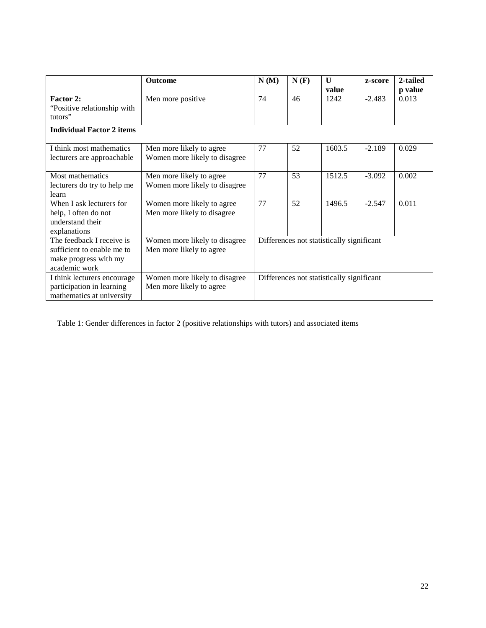|                                  | <b>Outcome</b>                | N(M)                                      | N(F) | $\mathbf{U}$ | z-score  | 2-tailed |  |
|----------------------------------|-------------------------------|-------------------------------------------|------|--------------|----------|----------|--|
|                                  |                               |                                           |      | value        |          | p value  |  |
| Factor 2:                        | Men more positive             | 74                                        | 46   | 1242         | $-2.483$ | 0.013    |  |
| "Positive relationship with      |                               |                                           |      |              |          |          |  |
| tutors"                          |                               |                                           |      |              |          |          |  |
| <b>Individual Factor 2 items</b> |                               |                                           |      |              |          |          |  |
|                                  |                               |                                           |      |              |          |          |  |
| I think most mathematics         | Men more likely to agree      | 77                                        | 52   | 1603.5       | $-2.189$ | 0.029    |  |
| lecturers are approachable       | Women more likely to disagree |                                           |      |              |          |          |  |
|                                  |                               |                                           |      |              |          |          |  |
| Most mathematics                 | Men more likely to agree      | 77                                        | 53   | 1512.5       | $-3.092$ | 0.002    |  |
| lecturers do try to help me      | Women more likely to disagree |                                           |      |              |          |          |  |
| learn                            |                               |                                           |      |              |          |          |  |
| When I ask lecturers for         | Women more likely to agree    | 77                                        | 52   | 1496.5       | $-2.547$ | 0.011    |  |
| help, I often do not             | Men more likely to disagree   |                                           |      |              |          |          |  |
| understand their                 |                               |                                           |      |              |          |          |  |
| explanations                     |                               |                                           |      |              |          |          |  |
| The feedback I receive is        | Women more likely to disagree | Differences not statistically significant |      |              |          |          |  |
| sufficient to enable me to       | Men more likely to agree      |                                           |      |              |          |          |  |
| make progress with my            |                               |                                           |      |              |          |          |  |
| academic work                    |                               |                                           |      |              |          |          |  |
| I think lecturers encourage      | Women more likely to disagree | Differences not statistically significant |      |              |          |          |  |
| participation in learning        | Men more likely to agree      |                                           |      |              |          |          |  |
| mathematics at university        |                               |                                           |      |              |          |          |  |

Table 1: Gender differences in factor 2 (positive relationships with tutors) and associated items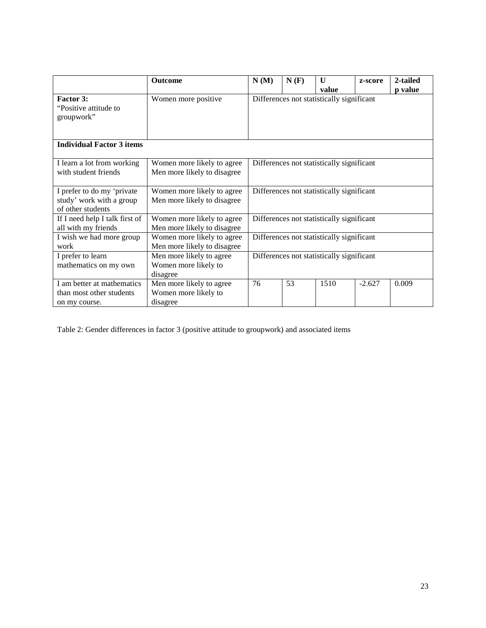|                                                                             | <b>Outcome</b>                                               | N(M)                                      | N(F) | U<br>value | z-score  | 2-tailed<br>p value |  |
|-----------------------------------------------------------------------------|--------------------------------------------------------------|-------------------------------------------|------|------------|----------|---------------------|--|
| Factor 3:<br>"Positive attitude to"<br>groupwork"                           | Women more positive                                          | Differences not statistically significant |      |            |          |                     |  |
| <b>Individual Factor 3 items</b>                                            |                                                              |                                           |      |            |          |                     |  |
| I learn a lot from working<br>with student friends                          | Women more likely to agree<br>Men more likely to disagree    | Differences not statistically significant |      |            |          |                     |  |
| I prefer to do my 'private<br>study' work with a group<br>of other students | Women more likely to agree<br>Men more likely to disagree    | Differences not statistically significant |      |            |          |                     |  |
| If I need help I talk first of<br>all with my friends                       | Women more likely to agree<br>Men more likely to disagree    | Differences not statistically significant |      |            |          |                     |  |
| I wish we had more group<br>work                                            | Women more likely to agree<br>Men more likely to disagree    | Differences not statistically significant |      |            |          |                     |  |
| I prefer to learn<br>mathematics on my own                                  | Men more likely to agree<br>Women more likely to<br>disagree | Differences not statistically significant |      |            |          |                     |  |
| I am better at mathematics<br>than most other students<br>on my course.     | Men more likely to agree<br>Women more likely to<br>disagree | 76                                        | 53   | 1510       | $-2.627$ | 0.009               |  |

Table 2: Gender differences in factor 3 (positive attitude to groupwork) and associated items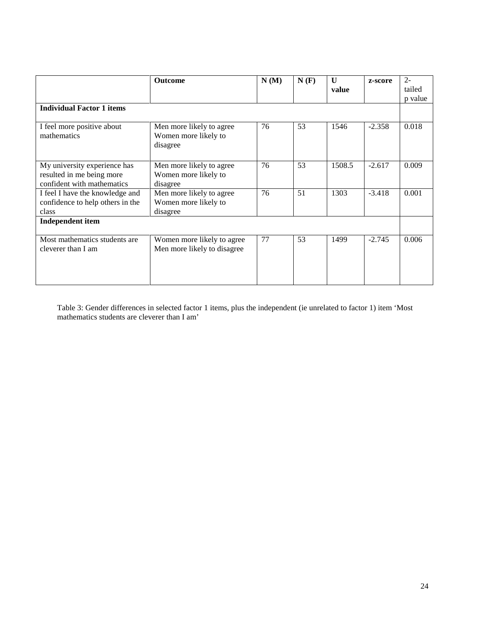|                                                                                         | <b>Outcome</b>                                               | N(M) | N(F) | $\mathbf{U}$<br>value | z-score  | $2 -$<br>tailed<br>p value |
|-----------------------------------------------------------------------------------------|--------------------------------------------------------------|------|------|-----------------------|----------|----------------------------|
| <b>Individual Factor 1 items</b>                                                        |                                                              |      |      |                       |          |                            |
| I feel more positive about<br>mathematics                                               | Men more likely to agree<br>Women more likely to<br>disagree | 76   | 53   | 1546                  | $-2.358$ | 0.018                      |
| My university experience has<br>resulted in me being more<br>confident with mathematics | Men more likely to agree<br>Women more likely to<br>disagree | 76   | 53   | 1508.5                | $-2.617$ | 0.009                      |
| I feel I have the knowledge and<br>confidence to help others in the<br>class            | Men more likely to agree<br>Women more likely to<br>disagree | 76   | 51   | 1303                  | $-3.418$ | 0.001                      |
| <b>Independent item</b>                                                                 |                                                              |      |      |                       |          |                            |
| Most mathematics students are<br>cleverer than I am                                     | Women more likely to agree<br>Men more likely to disagree    | 77   | 53   | 1499                  | $-2.745$ | 0.006                      |

Table 3: Gender differences in selected factor 1 items, plus the independent (ie unrelated to factor 1) item 'Most mathematics students are cleverer than I am'